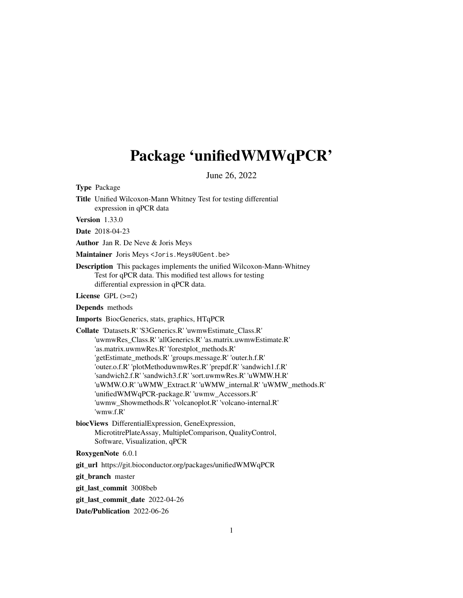# <span id="page-0-0"></span>Package 'unifiedWMWqPCR'

June 26, 2022

Type Package

Title Unified Wilcoxon-Mann Whitney Test for testing differential expression in qPCR data

Version 1.33.0

Date 2018-04-23

Author Jan R. De Neve & Joris Meys

Maintainer Joris Meys<Joris.Meys@UGent.be>

Description This packages implements the unified Wilcoxon-Mann-Whitney Test for qPCR data. This modified test allows for testing differential expression in qPCR data.

License  $GPL$  ( $>=2$ )

Depends methods

Imports BiocGenerics, stats, graphics, HTqPCR

Collate 'Datasets.R' 'S3Generics.R' 'uwmwEstimate\_Class.R' 'uwmwRes\_Class.R' 'allGenerics.R' 'as.matrix.uwmwEstimate.R' 'as.matrix.uwmwRes.R' 'forestplot\_methods.R' 'getEstimate\_methods.R' 'groups.message.R' 'outer.h.f.R' 'outer.o.f.R' 'plotMethoduwmwRes.R' 'prepdf.R' 'sandwich1.f.R' 'sandwich2.f.R' 'sandwich3.f.R' 'sort.uwmwRes.R' 'uWMW.H.R' 'uWMW.O.R' 'uWMW\_Extract.R' 'uWMW\_internal.R' 'uWMW\_methods.R' 'unifiedWMWqPCR-package.R' 'uwmw\_Accessors.R' 'uwmw\_Showmethods.R' 'volcanoplot.R' 'volcano-internal.R' 'wmw.f.R'

biocViews DifferentialExpression, GeneExpression, MicrotitrePlateAssay, MultipleComparison, QualityControl, Software, Visualization, qPCR

RoxygenNote 6.0.1

git\_url https://git.bioconductor.org/packages/unifiedWMWqPCR

git\_branch master

git\_last\_commit 3008beb

git\_last\_commit\_date 2022-04-26

Date/Publication 2022-06-26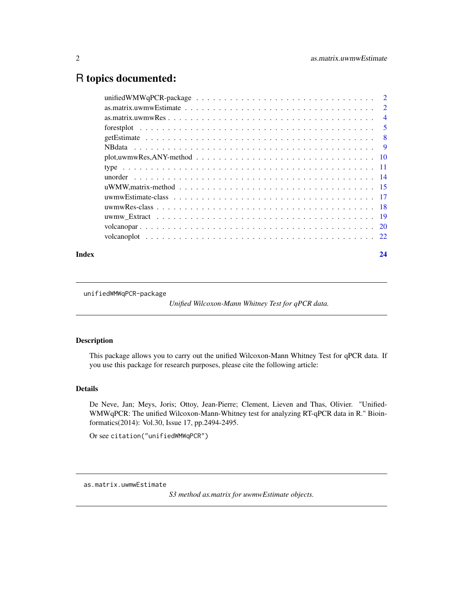# <span id="page-1-0"></span>R topics documented:

| $plot, uwmwRes, ANY-method \dots \dots \dots \dots \dots \dots \dots \dots \dots \dots \dots \dots \dots \dots \dots \dots \dots \dots$ |  |
|-----------------------------------------------------------------------------------------------------------------------------------------|--|
|                                                                                                                                         |  |
|                                                                                                                                         |  |
|                                                                                                                                         |  |
|                                                                                                                                         |  |
|                                                                                                                                         |  |
|                                                                                                                                         |  |
|                                                                                                                                         |  |
|                                                                                                                                         |  |
|                                                                                                                                         |  |

#### **Index** [24](#page-23-0)

unifiedWMWqPCR-package

*Unified Wilcoxon-Mann Whitney Test for qPCR data.*

# Description

This package allows you to carry out the unified Wilcoxon-Mann Whitney Test for qPCR data. If you use this package for research purposes, please cite the following article:

# Details

De Neve, Jan; Meys, Joris; Ottoy, Jean-Pierre; Clement, Lieven and Thas, Olivier. "Unified-WMWqPCR: The unified Wilcoxon-Mann-Whitney test for analyzing RT-qPCR data in R." Bioinformatics(2014): Vol.30, Issue 17, pp.2494-2495.

Or see citation("unifiedWMWqPCR")

*S3 method as.matrix for uwmwEstimate objects.*

as.matrix.uwmwEstimate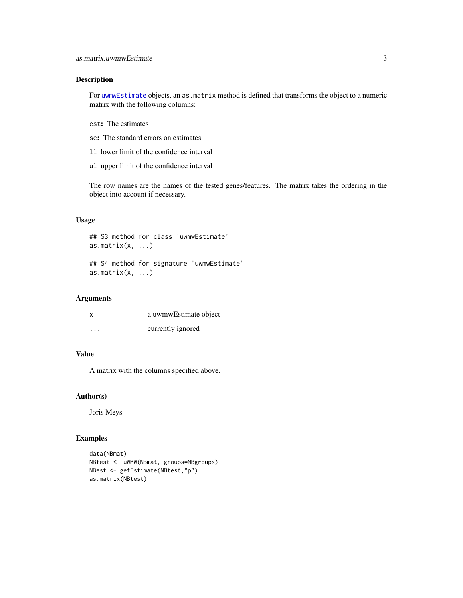# <span id="page-2-0"></span>Description

For [uwmwEstimate](#page-16-1) objects, an as.matrix method is defined that transforms the object to a numeric matrix with the following columns:

- est: The estimates
- se: The standard errors on estimates.
- ll lower limit of the confidence interval
- ul upper limit of the confidence interval

The row names are the names of the tested genes/features. The matrix takes the ordering in the object into account if necessary.

# Usage

```
## S3 method for class 'uwmwEstimate'
as.matrix(x, \ldots)## S4 method for signature 'uwmwEstimate'
as.matrix(x, \ldots)
```
# Arguments

| x        | a uwmwEstimate object |
|----------|-----------------------|
| $\cdots$ | currently ignored     |

# Value

A matrix with the columns specified above.

# Author(s)

Joris Meys

# Examples

```
data(NBmat)
NBtest <- uWMW(NBmat, groups=NBgroups)
NBest <- getEstimate(NBtest,"p")
as.matrix(NBtest)
```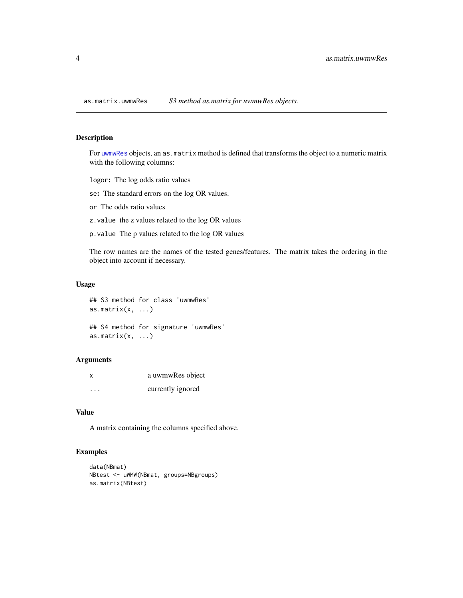<span id="page-3-0"></span>as.matrix.uwmwRes *S3 method as.matrix for uwmwRes objects.*

# Description

For [uwmwRes](#page-17-1) objects, an as.matrix method is defined that transforms the object to a numeric matrix with the following columns:

logor: The log odds ratio values

se: The standard errors on the log OR values.

or The odds ratio values

z.value the z values related to the log OR values

p.value The p values related to the log OR values

The row names are the names of the tested genes/features. The matrix takes the ordering in the object into account if necessary.

# Usage

```
## S3 method for class 'uwmwRes'
as.matrix(x, \ldots)## S4 method for signature 'uwmwRes'
```

```
as.matrix(x, \ldots)
```
#### Arguments

| X       | a uwmwRes object  |
|---------|-------------------|
| $\cdot$ | currently ignored |

#### Value

A matrix containing the columns specified above.

# Examples

```
data(NBmat)
NBtest <- uWMW(NBmat, groups=NBgroups)
as.matrix(NBtest)
```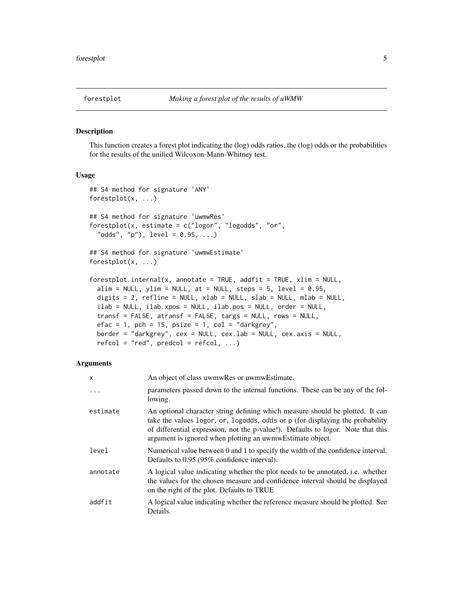<span id="page-4-1"></span><span id="page-4-0"></span>

#### Description

This function creates a forest plot indicating the (log) odds ratios, the (log) odds or the probabilities for the results of the unified Wilcoxon-Mann-Whitney test.

## Usage

```
## S4 method for signature 'ANY'
forestplot(x, ...)
## S4 method for signature 'uwmwRes'
forestplot(x, estimate = c("logor", "logodds", "or",
  "odds", "p"), level = 0.95, ...## S4 method for signature 'uwmwEstimate'
forestplot(x, ...)
forestplot.internal(x, annotate = TRUE, addfit = TRUE, xlim = NULL,alim = NULL, ylim = NULL, at = NULL, steps = 5, level = 0.95,
 digits = 2, refline = NULL, xlab = NULL, slab = NULL, mlab = NULL,
  ilab = NULL, ilab.xpos = NULL, ilab.pos = NULL, order = NULL,
  transf = FALSE, atransf = FALSE, targs = NULL, rows = NULL,
 efac = 1, pch = 15, psize = 1, col = "darkgrey",
 border = "darkgrey", cex = NULL, cex.lab = NULL, cex.axis = NULL,
  refcol = "red", predcol = refcol, ...)
```

| X        | An object of class uwmwRes or uwmwEstimate.                                                                                                                                                                                                                                                                     |
|----------|-----------------------------------------------------------------------------------------------------------------------------------------------------------------------------------------------------------------------------------------------------------------------------------------------------------------|
| $\ddots$ | parameters passed down to the internal functions. These can be any of the fol-<br>lowing.                                                                                                                                                                                                                       |
| estimate | An optional character string defining which measure should be plotted. It can<br>take the values logor, or, logodds, odds or p (for displaying the probability<br>of differential expression, not the p-value!). Defaults to logor. Note that this<br>argument is ignored when plotting an uwmwEstimate object. |
| level    | Numerical value between 0 and 1 to specify the width of the confidence interval.<br>Defaults to 0.95 (95% confidence interval).                                                                                                                                                                                 |
| annotate | A logical value indicating whether the plot needs to be annotated, <i>i.e.</i> whether<br>the values for the chosen measure and confidence interval should be displayed<br>on the right of the plot. Defaults to TRUE                                                                                           |
| addfit   | A logical value indicating whether the reference measure should be plotted. See<br>Details.                                                                                                                                                                                                                     |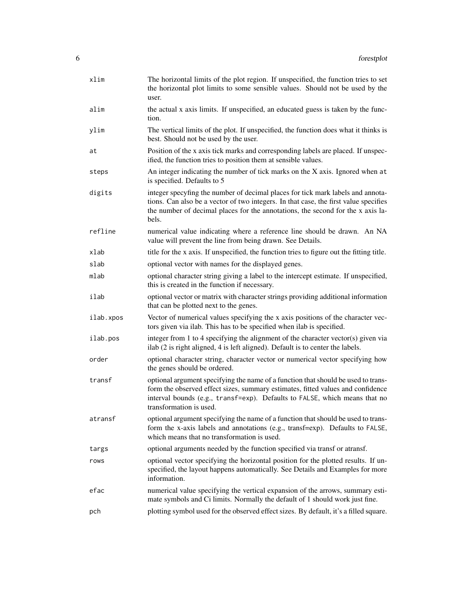| xlim      | The horizontal limits of the plot region. If unspecified, the function tries to set<br>the horizontal plot limits to some sensible values. Should not be used by the<br>user.                                                                                                 |
|-----------|-------------------------------------------------------------------------------------------------------------------------------------------------------------------------------------------------------------------------------------------------------------------------------|
| alim      | the actual x axis limits. If unspecified, an educated guess is taken by the func-<br>tion.                                                                                                                                                                                    |
| ylim      | The vertical limits of the plot. If unspecified, the function does what it thinks is<br>best. Should not be used by the user.                                                                                                                                                 |
| at        | Position of the x axis tick marks and corresponding labels are placed. If unspec-<br>ified, the function tries to position them at sensible values.                                                                                                                           |
| steps     | An integer indicating the number of tick marks on the X axis. Ignored when at<br>is specified. Defaults to 5                                                                                                                                                                  |
| digits    | integer specyfing the number of decimal places for tick mark labels and annota-<br>tions. Can also be a vector of two integers. In that case, the first value specifies<br>the number of decimal places for the annotations, the second for the x axis la-<br>bels.           |
| refline   | numerical value indicating where a reference line should be drawn. An NA<br>value will prevent the line from being drawn. See Details.                                                                                                                                        |
| xlab      | title for the x axis. If unspecified, the function tries to figure out the fitting title.                                                                                                                                                                                     |
| slab      | optional vector with names for the displayed genes.                                                                                                                                                                                                                           |
| mlab      | optional character string giving a label to the intercept estimate. If unspecified,<br>this is created in the function if necessary.                                                                                                                                          |
| ilab      | optional vector or matrix with character strings providing additional information<br>that can be plotted next to the genes.                                                                                                                                                   |
| ilab.xpos | Vector of numerical values specifying the x axis positions of the character vec-<br>tors given via ilab. This has to be specified when ilab is specified.                                                                                                                     |
| ilab.pos  | integer from 1 to 4 specifying the alignment of the character vector(s) given via<br>ilab (2 is right aligned, 4 is left aligned). Default is to center the labels.                                                                                                           |
| order     | optional character string, character vector or numerical vector specifying how<br>the genes should be ordered.                                                                                                                                                                |
| transf    | optional argument specifying the name of a function that should be used to trans-<br>form the observed effect sizes, summary estimates, fitted values and confidence<br>interval bounds (e.g., transf=exp). Defaults to FALSE, which means that no<br>transformation is used. |
| atransf   | optional argument specifying the name of a function that should be used to trans-<br>form the x-axis labels and annotations (e.g., transf=exp). Defaults to FALSE,<br>which means that no transformation is used.                                                             |
| targs     | optional arguments needed by the function specified via transf or atransf.                                                                                                                                                                                                    |
| rows      | optional vector specifying the horizontal position for the plotted results. If un-<br>specified, the layout happens automatically. See Details and Examples for more<br>information.                                                                                          |
| efac      | numerical value specifying the vertical expansion of the arrows, summary esti-<br>mate symbols and Ci limits. Normally the default of 1 should work just fine.                                                                                                                |
| pch       | plotting symbol used for the observed effect sizes. By default, it's a filled square.                                                                                                                                                                                         |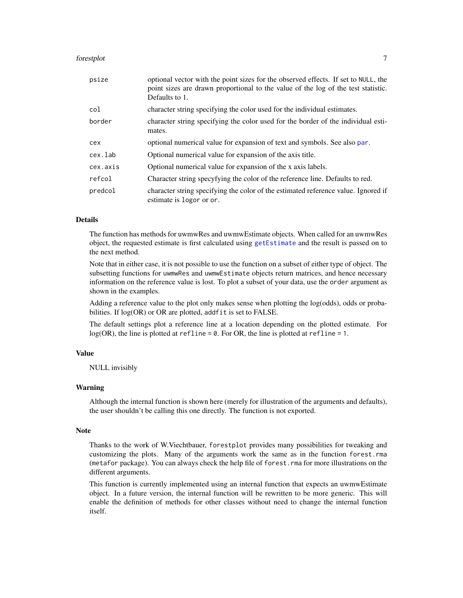#### <span id="page-6-0"></span>forestplot 7

| psize    | optional vector with the point sizes for the observed effects. If set to NULL, the<br>point sizes are drawn proportional to the value of the log of the test statistic.<br>Defaults to 1. |
|----------|-------------------------------------------------------------------------------------------------------------------------------------------------------------------------------------------|
| col      | character string specifying the color used for the individual estimates.                                                                                                                  |
| border   | character string specifying the color used for the border of the individual esti-<br>mates.                                                                                               |
| cex      | optional numerical value for expansion of text and symbols. See also par.                                                                                                                 |
| cex.lab  | Optional numerical value for expansion of the axis title.                                                                                                                                 |
| cex.axis | Optional numerical value for expansion of the x axis labels.                                                                                                                              |
| refcol   | Character string specyfying the color of the reference line. Defaults to red.                                                                                                             |
| predcol  | character string specifying the color of the estimated reference value. Ignored if<br>estimate is logor or or.                                                                            |

# Details

The function has methods for uwmwRes and uwmwEstimate objects. When called for an uwmwRes object, the requested estimate is first calculated using [getEstimate](#page-7-1) and the result is passed on to the next method.

Note that in either case, it is not possible to use the function on a subset of either type of object. The subsetting functions for uwmwRes and uwmwEstimate objects return matrices, and hence necessary information on the reference value is lost. To plot a subset of your data, use the order argument as shown in the examples.

Adding a reference value to the plot only makes sense when plotting the log(odds), odds or probabilities. If  $log(OR)$  or OR are plotted, addfit is set to FALSE.

The default settings plot a reference line at a location depending on the plotted estimate. For  $log(OR)$ , the line is plotted at refline = 0. For OR, the line is plotted at refline = 1.

# Value

NULL invisibly

#### Warning

Although the internal function is shown here (merely for illustration of the arguments and defaults), the user shouldn't be calling this one directly. The function is not exported.

#### **Note**

Thanks to the work of W.Viechtbauer, forestplot provides many possibilities for tweaking and customizing the plots. Many of the arguments work the same as in the function forest.rma (metafor package). You can always check the help file of forest.rma for more illustrations on the different arguments.

This function is currently implemented using an internal function that expects an uwmwEstimate object. In a future version, the internal function will be rewritten to be more generic. This will enable the definition of methods for other classes without need to change the internal function itself.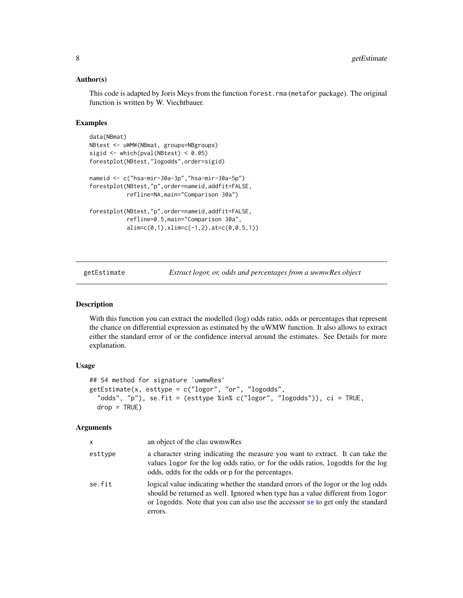## <span id="page-7-0"></span>Author(s)

This code is adapted by Joris Meys from the function forest.rma (metafor package). The original function is written by W. Viechtbauer.

# Examples

```
data(NBmat)
NBtest <- uWMW(NBmat, groups=NBgroups)
sigid \le which(pval(NBtest) \le 0.05)
forestplot(NBtest,"logodds",order=sigid)
nameid <- c("hsa-mir-30a-3p","hsa-mir-30a-5p")
forestplot(NBtest,"p",order=nameid,addfit=FALSE,
           refline=NA,main="Comparison 30a")
forestplot(NBtest,"p",order=nameid,addfit=FALSE,
           refline=0.5,main="Comparison 30a",
           alim=c(0,1),xlim=c(-1,2),at=c(0,0.5,1))
```
<span id="page-7-1"></span>getEstimate *Extract logor, or, odds and percentages from a uwmwRes object*

# Description

With this function you can extract the modelled (log) odds ratio, odds or percentages that represent the chance on differential expression as estimated by the uWMW function. It also allows to extract either the standard error of or the confidence interval around the estimates. See Details for more explanation.

# Usage

```
## S4 method for signature 'uwmwRes'
getEstimate(x, esttype = c("logor", "or", "logodds",
  "odds", "p"), se.fit = (esttype %in% c("logor", "logodds")), ci = TRUE,
 drop = TRUE)
```

| x       | an object of the clas uwmwRes                                                                                                                                                                                                                                     |
|---------|-------------------------------------------------------------------------------------------------------------------------------------------------------------------------------------------------------------------------------------------------------------------|
| esttype | a character string indicating the measure you want to extract. It can take the<br>values logor for the log odds ratio, or for the odds ratios, logodds for the log<br>odds, odds for the odds or p for the percentages.                                           |
| se.fit  | logical value indicating whether the standard errors of the logor or the log odds<br>should be returned as well. Ignored when type has a value different from logor<br>or logodds. Note that you can also use the accessor se to get only the standard<br>errors. |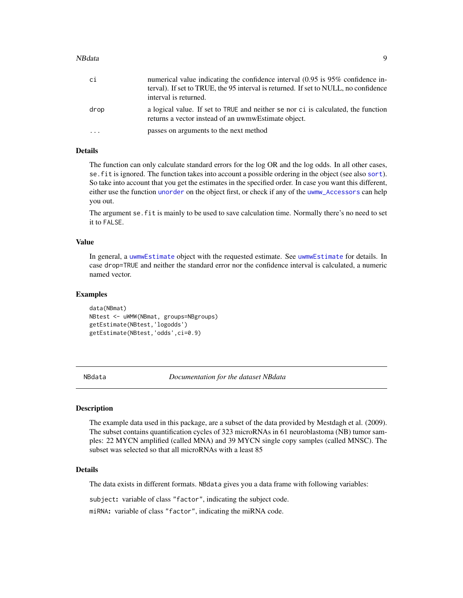#### <span id="page-8-0"></span>NBdata 9

| сi   | numerical value indicating the confidence interval (0.95 is 95% confidence in-<br>terval). If set to TRUE, the 95 interval is returned. If set to NULL, no confidence<br>interval is returned. |
|------|------------------------------------------------------------------------------------------------------------------------------------------------------------------------------------------------|
| drop | a logical value. If set to TRUE and neither se nor ci is calculated, the function<br>returns a vector instead of an uwmwEstimate object.                                                       |
| .    | passes on arguments to the next method                                                                                                                                                         |

# Details

The function can only calculate standard errors for the log OR and the log odds. In all other cases, se.fit is ignored. The function takes into account a possible ordering in the object (see also [sort](#page-13-1)). So take into account that you get the estimates in the specified order. In case you want this different, either use the function [unorder](#page-13-2) on the object first, or check if any of the [uwmw\\_Accessors](#page-10-1) can help you out.

The argument se.fit is mainly to be used to save calculation time. Normally there's no need to set it to FALSE.

# Value

In general, a [uwmwEstimate](#page-16-1) object with the requested estimate. See [uwmwEstimate](#page-16-1) for details. In case drop=TRUE and neither the standard error nor the confidence interval is calculated, a numeric named vector.

#### Examples

```
data(NBmat)
NBtest <- uWMW(NBmat, groups=NBgroups)
getEstimate(NBtest,'logodds')
getEstimate(NBtest,'odds',ci=0.9)
```
NBdata *Documentation for the dataset NBdata*

#### **Description**

The example data used in this package, are a subset of the data provided by Mestdagh et al. (2009). The subset contains quantification cycles of 323 microRNAs in 61 neuroblastoma (NB) tumor samples: 22 MYCN amplified (called MNA) and 39 MYCN single copy samples (called MNSC). The subset was selected so that all microRNAs with a least 85

# Details

The data exists in different formats. NBdata gives you a data frame with following variables:

subject: variable of class "factor", indicating the subject code.

miRNA: variable of class "factor", indicating the miRNA code.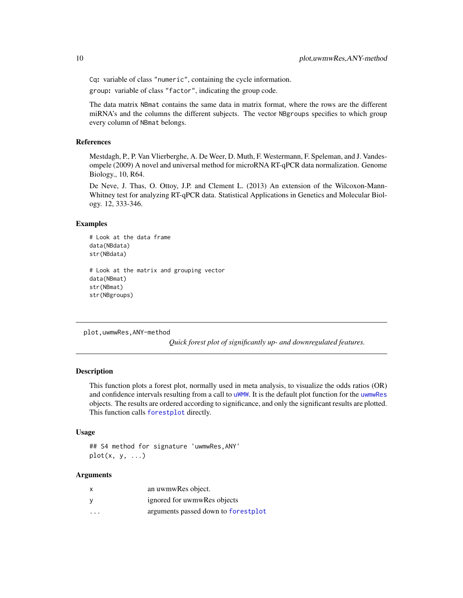Cq: variable of class "numeric", containing the cycle information.

group: variable of class "factor", indicating the group code.

The data matrix NBmat contains the same data in matrix format, where the rows are the different miRNA's and the columns the different subjects. The vector NBgroups specifies to which group every column of NBmat belongs.

# References

Mestdagh, P., P. Van Vlierberghe, A. De Weer, D. Muth, F. Westermann, F. Speleman, and J. Vandesompele (2009) A novel and universal method for microRNA RT-qPCR data normalization. Genome Biology., 10, R64.

De Neve, J. Thas, O. Ottoy, J.P. and Clement L. (2013) An extension of the Wilcoxon-Mann-Whitney test for analyzing RT-qPCR data. Statistical Applications in Genetics and Molecular Biology. 12, 333-346.

# Examples

```
# Look at the data frame
data(NBdata)
str(NBdata)
# Look at the matrix and grouping vector
data(NBmat)
str(NBmat)
str(NBgroups)
```
plot,uwmwRes,ANY-method

*Quick forest plot of significantly up- and downregulated features.*

#### **Description**

This function plots a forest plot, normally used in meta analysis, to visualize the odds ratios (OR) and confidence intervals resulting from a call to [uWMW](#page-14-1). It is the default plot function for the [uwmwRes](#page-17-1) objects. The results are ordered according to significance, and only the significant results are plotted. This function calls [forestplot](#page-4-1) directly.

#### Usage

## S4 method for signature 'uwmwRes,ANY'  $plot(x, y, \ldots)$ 

| x       | an uwmwRes object.                  |
|---------|-------------------------------------|
| У       | ignored for uwmwRes objects         |
| $\cdot$ | arguments passed down to forestplot |

<span id="page-9-0"></span>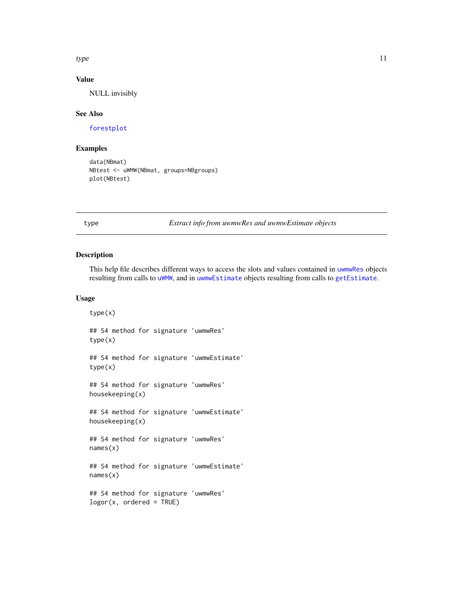<span id="page-10-0"></span> $type$  11

# Value

NULL invisibly

#### See Also

[forestplot](#page-4-1)

# Examples

```
data(NBmat)
NBtest <- uWMW(NBmat, groups=NBgroups)
plot(NBtest)
```
type *Extract info from uwmwRes and uwmwEstimate objects*

## <span id="page-10-1"></span>Description

This help file describes different ways to access the slots and values contained in [uwmwRes](#page-17-1) objects resulting from calls to [uWMW](#page-14-1), and in [uwmwEstimate](#page-16-1) objects resulting from calls to [getEstimate](#page-7-1).

#### Usage

```
type(x)
## S4 method for signature 'uwmwRes'
type(x)
## S4 method for signature 'uwmwEstimate'
type(x)
## S4 method for signature 'uwmwRes'
housekeeping(x)
## S4 method for signature 'uwmwEstimate'
housekeeping(x)
## S4 method for signature 'uwmwRes'
names(x)
## S4 method for signature 'uwmwEstimate'
names(x)
## S4 method for signature 'uwmwRes'
logor(x, ordered = TRUE)
```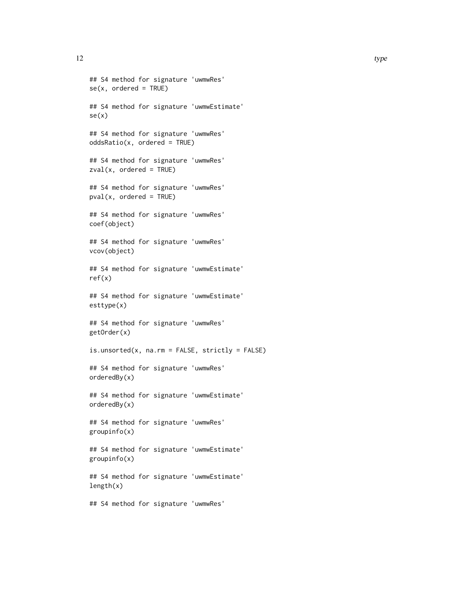```
## S4 method for signature 'uwmwRes'
se(x, ordered = TRUE)## S4 method for signature 'uwmwEstimate'
se(x)
## S4 method for signature 'uwmwRes'
oddsRatio(x, ordered = TRUE)
## S4 method for signature 'uwmwRes'
zval(x, ordered = TRUE)## S4 method for signature 'uwmwRes'
pval(x, ordered = TRUE)## S4 method for signature 'uwmwRes'
coef(object)
## S4 method for signature 'uwmwRes'
vcov(object)
## S4 method for signature 'uwmwEstimate'
ref(x)
## S4 method for signature 'uwmwEstimate'
esttype(x)
## S4 method for signature 'uwmwRes'
getOrder(x)
is.unsorted(x, na.rm = FALSE, strictly = FALSE)## S4 method for signature 'uwmwRes'
orderedBy(x)
## S4 method for signature 'uwmwEstimate'
orderedBy(x)
## S4 method for signature 'uwmwRes'
groupinfo(x)
## S4 method for signature 'uwmwEstimate'
groupinfo(x)
## S4 method for signature 'uwmwEstimate'
length(x)
```
## S4 method for signature 'uwmwRes'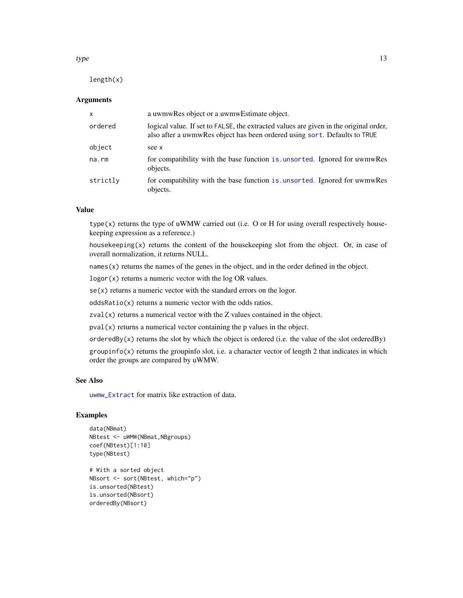length(x)

#### **Arguments**

| X        | a uwmwRes object or a uwmwEstimate object.                                                                                                                         |
|----------|--------------------------------------------------------------------------------------------------------------------------------------------------------------------|
| ordered  | logical value. If set to FALSE, the extracted values are given in the original order,<br>also after a uwmwRes object has been ordered using sort. Defaults to TRUE |
| object   | see x                                                                                                                                                              |
| na.rm    | for compatibility with the base function is unsorted. Ignored for uwmwRes<br>objects.                                                                              |
| strictly | for compatibility with the base function is unsorted. Ignored for uwmwRes<br>objects.                                                                              |

# Value

type(x) returns the type of uWMW carried out (i.e. O or H for using overall respectively housekeeping expression as a reference.)

housekeeping $(x)$  returns the content of the housekeeping slot from the object. Or, in case of overall normalization, it returns NULL.

names(x) returns the names of the genes in the object, and in the order defined in the object.

logor(x) returns a numeric vector with the log OR values.

 $se(x)$  returns a numeric vector with the standard errors on the logor.

oddsRatio(x) returns a numeric vector with the odds ratios.

 $zval(x)$  returns a numerical vector with the Z values contained in the object.

pval(x) returns a numerical vector containing the p values in the object.

orderedBy(x) returns the slot by which the object is ordered (i.e. the value of the slot orderedBy)

 $groupinfo(x)$  returns the groupinfo slot, i.e. a character vector of length 2 that indicates in which order the groups are compared by uWMW.

#### See Also

[uwmw\\_Extract](#page-18-1) for matrix like extraction of data.

# Examples

```
data(NBmat)
NBtest <- uWMW(NBmat,NBgroups)
coef(NBtest)[1:10]
type(NBtest)
```

```
# With a sorted object
NBsort <- sort(NBtest, which="p")
is.unsorted(NBtest)
is.unsorted(NBsort)
orderedBy(NBsort)
```
<span id="page-12-0"></span> $type$  13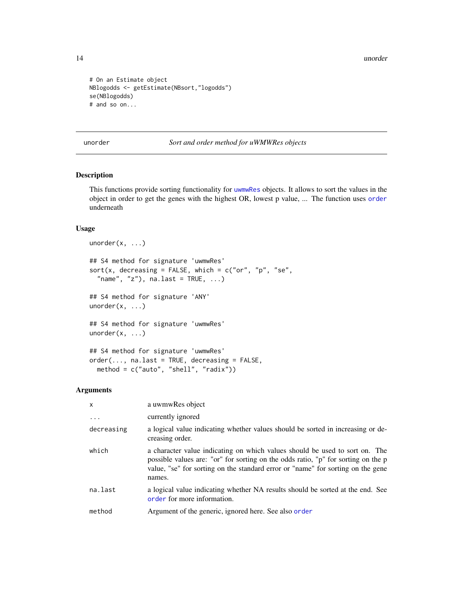14 unorder

```
# On an Estimate object
NBlogodds <- getEstimate(NBsort,"logodds")
se(NBlogodds)
# and so on...
```
<span id="page-13-2"></span>unorder *Sort and order method for uWMWRes objects*

## <span id="page-13-1"></span>Description

This functions provide sorting functionality for [uwmwRes](#page-17-1) objects. It allows to sort the values in the object in order to get the genes with the highest OR, lowest p value, ... The function uses [order](#page-0-0) underneath

# Usage

```
unorder(x, \ldots)## S4 method for signature 'uwmwRes'
sort(x, decreasing = FALSE, which = c("or", "p", "se","name", "z"), na.last = TRUE, \ldots)
## S4 method for signature 'ANY'
unorder(x, ...)
## S4 method for signature 'uwmwRes'
unorder(x, \ldots)## S4 method for signature 'uwmwRes'
order(..., nau z = TRUE, decreasing = FALSE,method = c("auto", "shell", "radix"))
```

| $\mathsf{x}$ | a uwmwRes object                                                                                                                                                                                                                                              |
|--------------|---------------------------------------------------------------------------------------------------------------------------------------------------------------------------------------------------------------------------------------------------------------|
| $\ddots$ .   | currently ignored                                                                                                                                                                                                                                             |
| decreasing   | a logical value indicating whether values should be sorted in increasing or de-<br>creasing order.                                                                                                                                                            |
| which        | a character value indicating on which values should be used to sort on. The<br>possible values are: "or" for sorting on the odds ratio, "p" for sorting on the p<br>value, "se" for sorting on the standard error or "name" for sorting on the gene<br>names. |
| na.last      | a logical value indicating whether NA results should be sorted at the end. See<br>order for more information.                                                                                                                                                 |
| method       | Argument of the generic, ignored here. See also order                                                                                                                                                                                                         |

<span id="page-13-0"></span>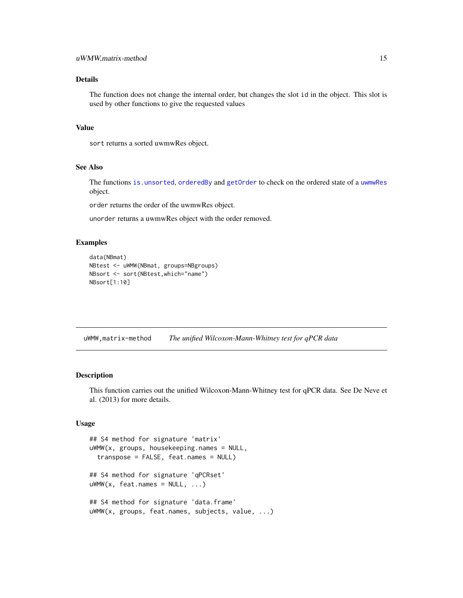# <span id="page-14-0"></span>Details

The function does not change the internal order, but changes the slot id in the object. This slot is used by other functions to give the requested values

#### Value

sort returns a sorted uwmwRes object.

# See Also

The functions [is.unsorted](#page-10-1), [orderedBy](#page-10-1) and [getOrder](#page-10-1) to check on the ordered state of a [uwmwRes](#page-17-1) object.

order returns the order of the uwmwRes object.

unorder returns a uwmwRes object with the order removed.

# Examples

```
data(NBmat)
NBtest <- uWMW(NBmat, groups=NBgroups)
NBsort <- sort(NBtest,which="name")
NBsort[1:10]
```
uWMW,matrix-method *The unified Wilcoxon-Mann-Whitney test for qPCR data*

#### <span id="page-14-1"></span>Description

This function carries out the unified Wilcoxon-Mann-Whitney test for qPCR data. See De Neve et al. (2013) for more details.

# Usage

```
## S4 method for signature 'matrix'
uWMW(x, groups, housekeeping.names = NULL,
  transpose = FALSE, feat.names = NULL)
## S4 method for signature 'qPCRset'
uWWW(x, \text{feat}.\text{names} = NULL, ...)## S4 method for signature 'data.frame'
uWMW(x, groups, feat.names, subjects, value, ...)
```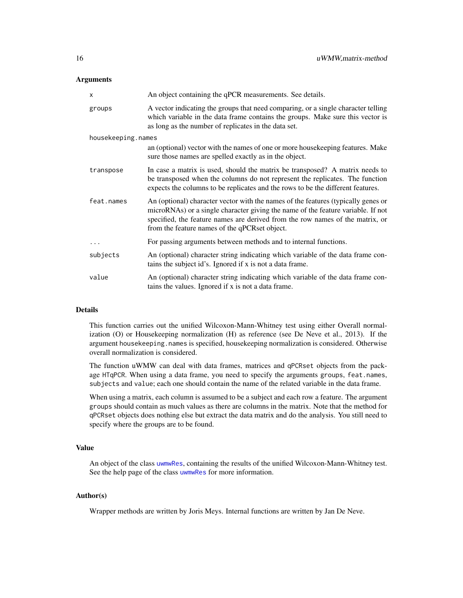# <span id="page-15-0"></span>**Arguments**

| X                  | An object containing the qPCR measurements. See details.                                                                                                                                                                                                                                                |
|--------------------|---------------------------------------------------------------------------------------------------------------------------------------------------------------------------------------------------------------------------------------------------------------------------------------------------------|
| groups             | A vector indicating the groups that need comparing, or a single character telling<br>which variable in the data frame contains the groups. Make sure this vector is<br>as long as the number of replicates in the data set.                                                                             |
| housekeeping.names |                                                                                                                                                                                                                                                                                                         |
|                    | an (optional) vector with the names of one or more housekeeping features. Make<br>sure those names are spelled exactly as in the object.                                                                                                                                                                |
| transpose          | In case a matrix is used, should the matrix be transposed? A matrix needs to<br>be transposed when the columns do not represent the replicates. The function<br>expects the columns to be replicates and the rows to be the different features.                                                         |
| feat.names         | An (optional) character vector with the names of the features (typically genes or<br>microRNAs) or a single character giving the name of the feature variable. If not<br>specified, the feature names are derived from the row names of the matrix, or<br>from the feature names of the qPCRset object. |
| $\cdots$           | For passing arguments between methods and to internal functions.                                                                                                                                                                                                                                        |
| subjects           | An (optional) character string indicating which variable of the data frame con-<br>tains the subject id's. Ignored if x is not a data frame.                                                                                                                                                            |
| value              | An (optional) character string indicating which variable of the data frame con-<br>tains the values. Ignored if x is not a data frame.                                                                                                                                                                  |

#### Details

This function carries out the unified Wilcoxon-Mann-Whitney test using either Overall normalization (O) or Housekeeping normalization (H) as reference (see De Neve et al., 2013). If the argument housekeeping.names is specified, housekeeping normalization is considered. Otherwise overall normalization is considered.

The function uWMW can deal with data frames, matrices and qPCRset objects from the package HTqPCR. When using a data frame, you need to specify the arguments groups, feat.names, subjects and value; each one should contain the name of the related variable in the data frame.

When using a matrix, each column is assumed to be a subject and each row a feature. The argument groups should contain as much values as there are columns in the matrix. Note that the method for qPCRset objects does nothing else but extract the data matrix and do the analysis. You still need to specify where the groups are to be found.

# Value

An object of the class [uwmwRes](#page-17-1), containing the results of the unified Wilcoxon-Mann-Whitney test. See the help page of the class [uwmwRes](#page-17-1) for more information.

#### Author(s)

Wrapper methods are written by Joris Meys. Internal functions are written by Jan De Neve.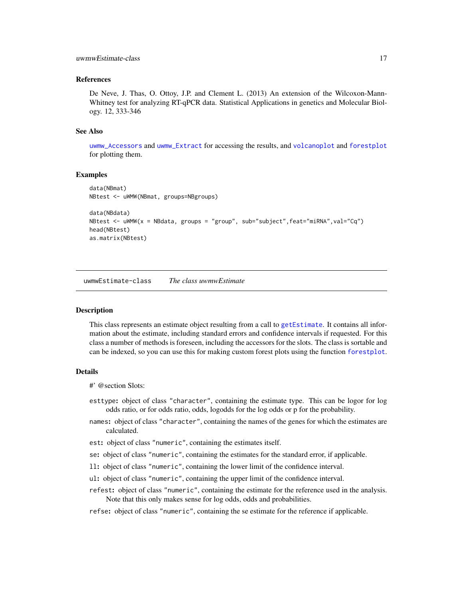#### <span id="page-16-0"></span>uwmwEstimate-class 17

## References

De Neve, J. Thas, O. Ottoy, J.P. and Clement L. (2013) An extension of the Wilcoxon-Mann-Whitney test for analyzing RT-qPCR data. Statistical Applications in genetics and Molecular Biology. 12, 333-346

#### See Also

[uwmw\\_Accessors](#page-10-1) and [uwmw\\_Extract](#page-18-1) for accessing the results, and [volcanoplot](#page-21-1) and [forestplot](#page-4-1) for plotting them.

## Examples

```
data(NBmat)
NBtest <- uWMW(NBmat, groups=NBgroups)
data(NBdata)
NBtest <- uWMW(x = NBdata, groups = "group", sub="subject",feat="miRNA",val="Cq")
head(NBtest)
as.matrix(NBtest)
```
uwmwEstimate-class *The class uwmwEstimate*

#### <span id="page-16-1"></span>Description

This class represents an estimate object resulting from a call to [getEstimate](#page-7-1). It contains all information about the estimate, including standard errors and confidence intervals if requested. For this class a number of methods is foreseen, including the accessors for the slots. The class is sortable and can be indexed, so you can use this for making custom forest plots using the function [forestplot](#page-4-1).

#### Details

```
#' @section Slots:
```
- esttype: object of class "character", containing the estimate type. This can be logor for log odds ratio, or for odds ratio, odds, logodds for the log odds or p for the probability.
- names: object of class "character", containing the names of the genes for which the estimates are calculated.
- est: object of class "numeric", containing the estimates itself.
- se: object of class "numeric", containing the estimates for the standard error, if applicable.
- ll: object of class "numeric", containing the lower limit of the confidence interval.
- ul: object of class "numeric", containing the upper limit of the confidence interval.
- refest: object of class "numeric", containing the estimate for the reference used in the analysis. Note that this only makes sense for log odds, odds and probabilities.
- refse: object of class "numeric", containing the se estimate for the reference if applicable.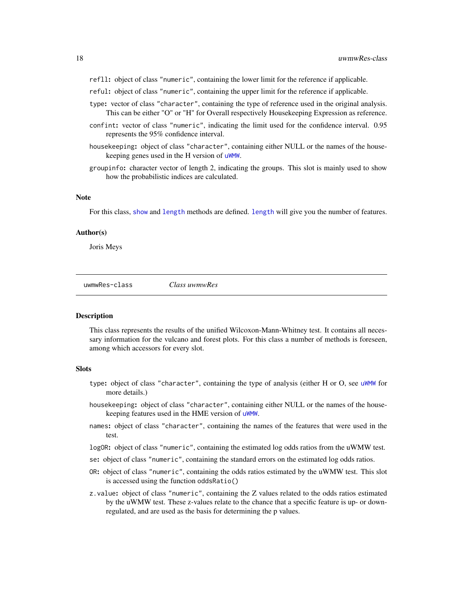- <span id="page-17-0"></span>refll: object of class "numeric", containing the lower limit for the reference if applicable.
- reful: object of class "numeric", containing the upper limit for the reference if applicable.
- type: vector of class "character", containing the type of reference used in the original analysis. This can be either "O" or "H" for Overall respectively Housekeeping Expression as reference.
- confint: vector of class "numeric", indicating the limit used for the confidence interval. 0.95 represents the 95% confidence interval.
- housekeeping: object of class "character", containing either NULL or the names of the housekeeping genes used in the H version of [uWMW](#page-14-1).
- groupinfo: character vector of length 2, indicating the groups. This slot is mainly used to show how the probabilistic indices are calculated.

#### **Note**

For this class, [show](#page-0-0) and [length](#page-0-0) methods are defined. [length](#page-0-0) will give you the number of features.

#### Author(s)

Joris Meys

uwmwRes-class *Class uwmwRes*

# <span id="page-17-1"></span>Description

This class represents the results of the unified Wilcoxon-Mann-Whitney test. It contains all necessary information for the vulcano and forest plots. For this class a number of methods is foreseen, among which accessors for every slot.

# Slots

- type: object of class "character", containing the type of analysis (either H or O, see [uWMW](#page-14-1) for more details.)
- housekeeping: object of class "character", containing either NULL or the names of the housekeeping features used in the HME version of [uWMW](#page-14-1).
- names: object of class "character", containing the names of the features that were used in the test.
- logOR: object of class "numeric", containing the estimated log odds ratios from the uWMW test.
- se: object of class "numeric", containing the standard errors on the estimated log odds ratios.
- OR: object of class "numeric", containing the odds ratios estimated by the uWMW test. This slot is accessed using the function oddsRatio()
- z.value: object of class "numeric", containing the Z values related to the odds ratios estimated by the uWMW test. These z-values relate to the chance that a specific feature is up- or downregulated, and are used as the basis for determining the p values.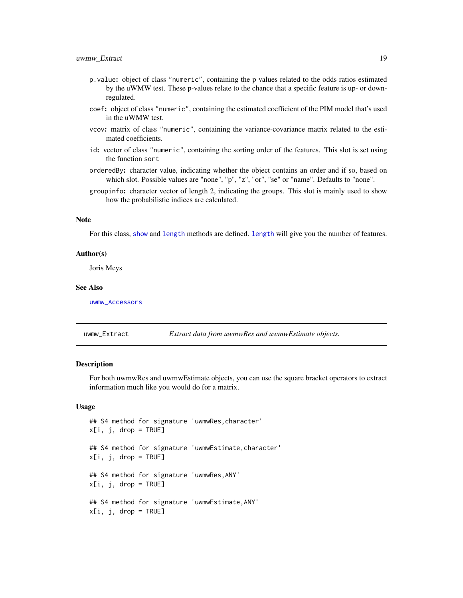- <span id="page-18-0"></span>p.value: object of class "numeric", containing the p values related to the odds ratios estimated by the uWMW test. These p-values relate to the chance that a specific feature is up- or downregulated.
- coef: object of class "numeric", containing the estimated coefficient of the PIM model that's used in the uWMW test.
- vcov: matrix of class "numeric", containing the variance-covariance matrix related to the estimated coefficients.
- id: vector of class "numeric", containing the sorting order of the features. This slot is set using the function sort
- orderedBy: character value, indicating whether the object contains an order and if so, based on which slot. Possible values are "none", "p", "z", "or", "se" or "name". Defaults to "none".
- groupinfo: character vector of length 2, indicating the groups. This slot is mainly used to show how the probabilistic indices are calculated.

# **Note**

For this class, [show](#page-0-0) and [length](#page-0-0) methods are defined. [length](#page-0-0) will give you the number of features.

#### Author(s)

Joris Meys

#### See Also

[uwmw\\_Accessors](#page-10-1)

<span id="page-18-1"></span>uwmw\_Extract *Extract data from uwmwRes and uwmwEstimate objects.*

#### Description

For both uwmwRes and uwmwEstimate objects, you can use the square bracket operators to extract information much like you would do for a matrix.

#### Usage

```
## S4 method for signature 'uwmwRes,character'
x[i, j, drop = TRUE]## S4 method for signature 'uwmwEstimate,character'
x[i, j, drop = TRUE]## S4 method for signature 'uwmwRes,ANY'
x[i, j, drop = TRUE]## S4 method for signature 'uwmwEstimate,ANY'
x[i, j, drop = TRUE]
```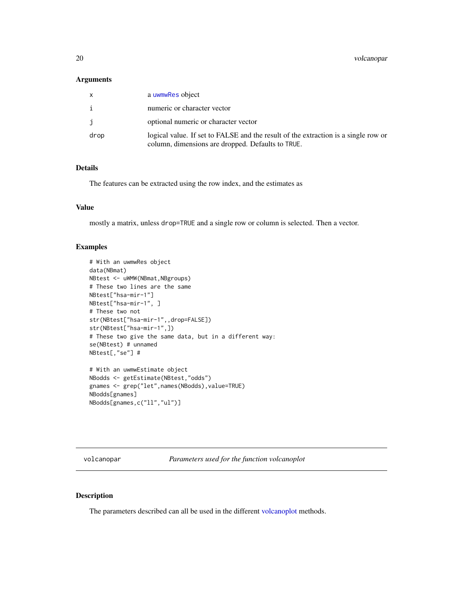# <span id="page-19-0"></span>Arguments

| $\mathsf{x}$ | a uwmwRes object                                                                                                                        |
|--------------|-----------------------------------------------------------------------------------------------------------------------------------------|
| i            | numeric or character vector                                                                                                             |
| j.           | optional numeric or character vector                                                                                                    |
| drop         | logical value. If set to FALSE and the result of the extraction is a single row or<br>column, dimensions are dropped. Defaults to TRUE. |

# Details

The features can be extracted using the row index, and the estimates as

# Value

mostly a matrix, unless drop=TRUE and a single row or column is selected. Then a vector.

#### Examples

```
# With an uwmwRes object
data(NBmat)
NBtest <- uWMW(NBmat,NBgroups)
# These two lines are the same
NBtest["hsa-mir-1"]
NBtest["hsa-mir-1", ]
# These two not
str(NBtest["hsa-mir-1",,drop=FALSE])
str(NBtest["hsa-mir-1",])
# These two give the same data, but in a different way:
se(NBtest) # unnamed
NBtest[,"se"] #
# With an uwmwEstimate object
NBodds <- getEstimate(NBtest,"odds")
gnames <- grep("let",names(NBodds),value=TRUE)
NBodds[gnames]
NBodds[gnames,c("ll","ul")]
```
<span id="page-19-1"></span>volcanopar *Parameters used for the function volcanoplot*

#### Description

The parameters described can all be used in the different [volcanoplot](#page-21-1) methods.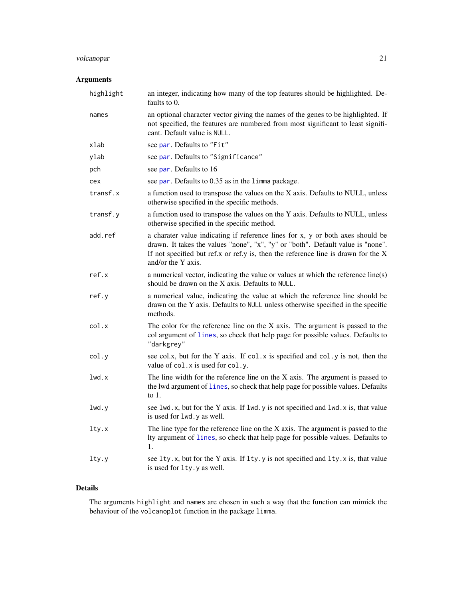# <span id="page-20-0"></span>volcanopar 21

# Arguments

| highlight | an integer, indicating how many of the top features should be highlighted. De-<br>faults to 0.                                                                                                                                                                                  |
|-----------|---------------------------------------------------------------------------------------------------------------------------------------------------------------------------------------------------------------------------------------------------------------------------------|
| names     | an optional character vector giving the names of the genes to be highlighted. If<br>not specified, the features are numbered from most significant to least signifi-<br>cant. Default value is NULL.                                                                            |
| xlab      | see par. Defaults to "Fit"                                                                                                                                                                                                                                                      |
| ylab      | see par. Defaults to "Significance"                                                                                                                                                                                                                                             |
| pch       | see par. Defaults to 16                                                                                                                                                                                                                                                         |
| cex       | see par. Defaults to 0.35 as in the 1imma package.                                                                                                                                                                                                                              |
| transf.x  | a function used to transpose the values on the X axis. Defaults to NULL, unless<br>otherwise specified in the specific methods.                                                                                                                                                 |
| transf.y  | a function used to transpose the values on the Y axis. Defaults to NULL, unless<br>otherwise specified in the specific method.                                                                                                                                                  |
| add.ref   | a charater value indicating if reference lines for x, y or both axes should be<br>drawn. It takes the values "none", "x", "y" or "both". Default value is "none".<br>If not specified but ref.x or ref.y is, then the reference line is drawn for the $X$<br>and/or the Y axis. |
| ref.x     | a numerical vector, indicating the value or values at which the reference line(s)<br>should be drawn on the X axis. Defaults to NULL.                                                                                                                                           |
| ref.y     | a numerical value, indicating the value at which the reference line should be<br>drawn on the Y axis. Defaults to NULL unless otherwise specified in the specific<br>methods.                                                                                                   |
| col.x     | The color for the reference line on the $X$ axis. The argument is passed to the<br>col argument of lines, so check that help page for possible values. Defaults to<br>"darkgrey"                                                                                                |
| col.y     | see col.x, but for the Y axis. If col.x is specified and col.y is not, then the<br>value of col. x is used for col. y.                                                                                                                                                          |
| 1wd.x     | The line width for the reference line on the $X$ axis. The argument is passed to<br>the lwd argument of lines, so check that help page for possible values. Defaults<br>to $1$ .                                                                                                |
| 1wd.y     | see lwd.x, but for the Y axis. If lwd.y is not specified and lwd.x is, that value<br>is used for lwd.y as well.                                                                                                                                                                 |
| lty.x     | The line type for the reference line on the $X$ axis. The argument is passed to the<br>Ity argument of lines, so check that help page for possible values. Defaults to<br>1.                                                                                                    |
| lty.y     | see lty.x, but for the Y axis. If lty.y is not specified and lty.x is, that value<br>is used for lty.y as well.                                                                                                                                                                 |

# Details

The arguments highlight and names are chosen in such a way that the function can mimick the behaviour of the volcanoplot function in the package limma.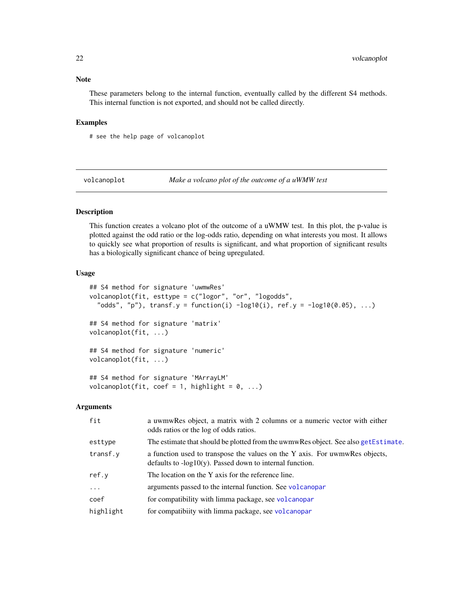# <span id="page-21-0"></span>Note

These parameters belong to the internal function, eventually called by the different S4 methods. This internal function is not exported, and should not be called directly.

# Examples

# see the help page of volcanoplot

<span id="page-21-1"></span>volcanoplot *Make a volcano plot of the outcome of a uWMW test*

# Description

This function creates a volcano plot of the outcome of a uWMW test. In this plot, the p-value is plotted against the odd ratio or the log-odds ratio, depending on what interests you most. It allows to quickly see what proportion of results is significant, and what proportion of significant results has a biologically significant chance of being upregulated.

# Usage

```
## S4 method for signature 'uwmwRes'
volcanoplot(fit, esttype = c("logor", "or", "logodds",
  "odds", "p"), transf.y = function(i) -\log 10(i), ref.y = -\log 10(0.05), ...)
## S4 method for signature 'matrix'
volcanoplot(fit, ...)
## S4 method for signature 'numeric'
volcanoplot(fit, ...)
## S4 method for signature 'MArrayLM'
volcanoplot(fit, coef = 1, highlight = 0, ...)
```

| fit       | a uwmwRes object, a matrix with 2 columns or a numeric vector with either<br>odds ratios or the log of odds ratios.                        |
|-----------|--------------------------------------------------------------------------------------------------------------------------------------------|
| esttype   | The estimate that should be plotted from the uwmwRes object. See also getEstimate.                                                         |
| transf.v  | a function used to transpose the values on the Y axis. For uwmwRes objects,<br>defaults to $-log10(y)$ . Passed down to internal function. |
| ref.v     | The location on the Y axis for the reference line.                                                                                         |
| $\cdots$  | arguments passed to the internal function. See volcanopar                                                                                  |
| coef      | for compatibility with limma package, see volcanopar                                                                                       |
| highlight | for compatibiity with limma package, see volcanopar                                                                                        |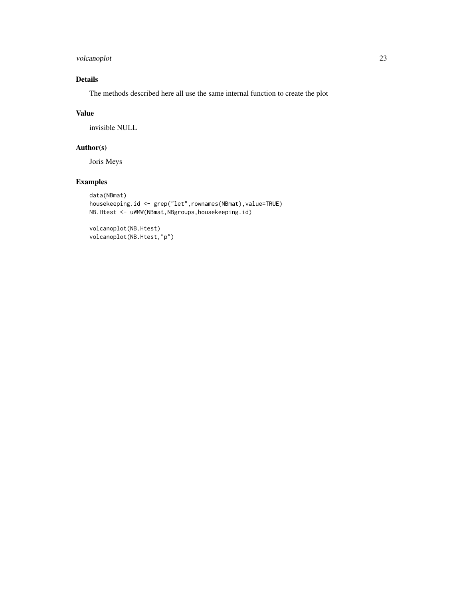volcanoplot 23

# Details

The methods described here all use the same internal function to create the plot

# Value

invisible NULL

# Author(s)

Joris Meys

# Examples

```
data(NBmat)
housekeeping.id <- grep("let",rownames(NBmat),value=TRUE)
NB.Htest <- uWMW(NBmat,NBgroups,housekeeping.id)
```
volcanoplot(NB.Htest) volcanoplot(NB.Htest,"p")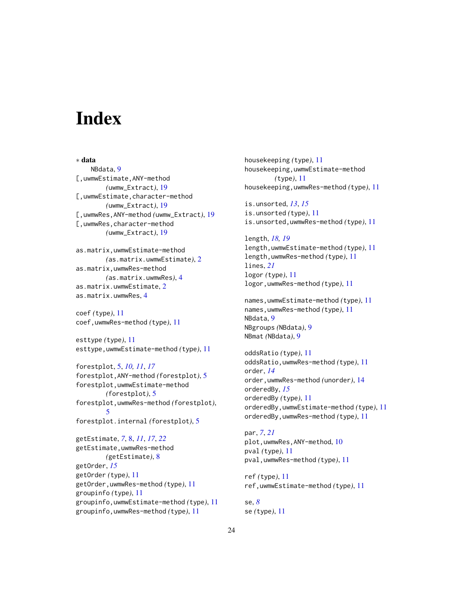# <span id="page-23-0"></span>**Index**

∗ data NBdata, [9](#page-8-0) [,uwmwEstimate,ANY-method *(*uwmw\_Extract*)*, [19](#page-18-0) [,uwmwEstimate,character-method *(*uwmw\_Extract*)*, [19](#page-18-0) [,uwmwRes,ANY-method *(*uwmw\_Extract*)*, [19](#page-18-0) [,uwmwRes,character-method *(*uwmw\_Extract*)*, [19](#page-18-0)

```
as.matrix,uwmwEstimate-method
        (as.matrix.uwmwEstimate), 2
as.matrix,uwmwRes-method
        (as.matrix.uwmwRes), 4
as.matrix.uwmwEstimate, 2
as.matrix.uwmwRes, 4
```
coef *(*type*)*, [11](#page-10-0) coef,uwmwRes-method *(*type*)*, [11](#page-10-0)

esttype *(*type*)*, [11](#page-10-0) esttype,uwmwEstimate-method *(*type*)*, [11](#page-10-0)

forestplot, [5,](#page-4-0) *[10,](#page-9-0) [11](#page-10-0)*, *[17](#page-16-0)* forestplot,ANY-method *(*forestplot*)*, [5](#page-4-0) forestplot,uwmwEstimate-method *(*forestplot*)*, [5](#page-4-0) forestplot,uwmwRes-method *(*forestplot*)*, [5](#page-4-0) forestplot.internal *(*forestplot*)*, [5](#page-4-0)

getEstimate, *[7](#page-6-0)*, [8,](#page-7-0) *[11](#page-10-0)*, *[17](#page-16-0)*, *[22](#page-21-0)* getEstimate,uwmwRes-method *(*getEstimate*)*, [8](#page-7-0) getOrder, *[15](#page-14-0)* getOrder *(*type*)*, [11](#page-10-0) getOrder,uwmwRes-method *(*type*)*, [11](#page-10-0) groupinfo *(*type*)*, [11](#page-10-0) groupinfo,uwmwEstimate-method *(*type*)*, [11](#page-10-0) groupinfo,uwmwRes-method *(*type*)*, [11](#page-10-0)

housekeeping *(*type*)*, [11](#page-10-0) housekeeping,uwmwEstimate-method *(*type*)*, [11](#page-10-0) housekeeping,uwmwRes-method *(*type*)*, [11](#page-10-0)

is.unsorted, *[13](#page-12-0)*, *[15](#page-14-0)* is.unsorted *(*type*)*, [11](#page-10-0) is.unsorted,uwmwRes-method *(*type*)*, [11](#page-10-0)

length, *[18,](#page-17-0) [19](#page-18-0)* length,uwmwEstimate-method *(*type*)*, [11](#page-10-0) length,uwmwRes-method *(*type*)*, [11](#page-10-0) lines, *[21](#page-20-0)* logor *(*type*)*, [11](#page-10-0) logor,uwmwRes-method *(*type*)*, [11](#page-10-0)

names,uwmwEstimate-method *(*type*)*, [11](#page-10-0) names,uwmwRes-method *(*type*)*, [11](#page-10-0) NBdata, [9](#page-8-0) NBgroups *(*NBdata*)*, [9](#page-8-0) NBmat *(*NBdata*)*, [9](#page-8-0)

oddsRatio *(*type*)*, [11](#page-10-0) oddsRatio,uwmwRes-method *(*type*)*, [11](#page-10-0) order, *[14](#page-13-0)* order,uwmwRes-method *(*unorder*)*, [14](#page-13-0) orderedBy, *[15](#page-14-0)* orderedBy *(*type*)*, [11](#page-10-0) orderedBy,uwmwEstimate-method *(*type*)*, [11](#page-10-0) orderedBy,uwmwRes-method *(*type*)*, [11](#page-10-0)

par, *[7](#page-6-0)*, *[21](#page-20-0)* plot,uwmwRes,ANY-method, [10](#page-9-0) pval *(*type*)*, [11](#page-10-0) pval,uwmwRes-method *(*type*)*, [11](#page-10-0)

ref *(*type*)*, [11](#page-10-0) ref,uwmwEstimate-method *(*type*)*, [11](#page-10-0)

se, *[8](#page-7-0)* se *(*type*)*, [11](#page-10-0)